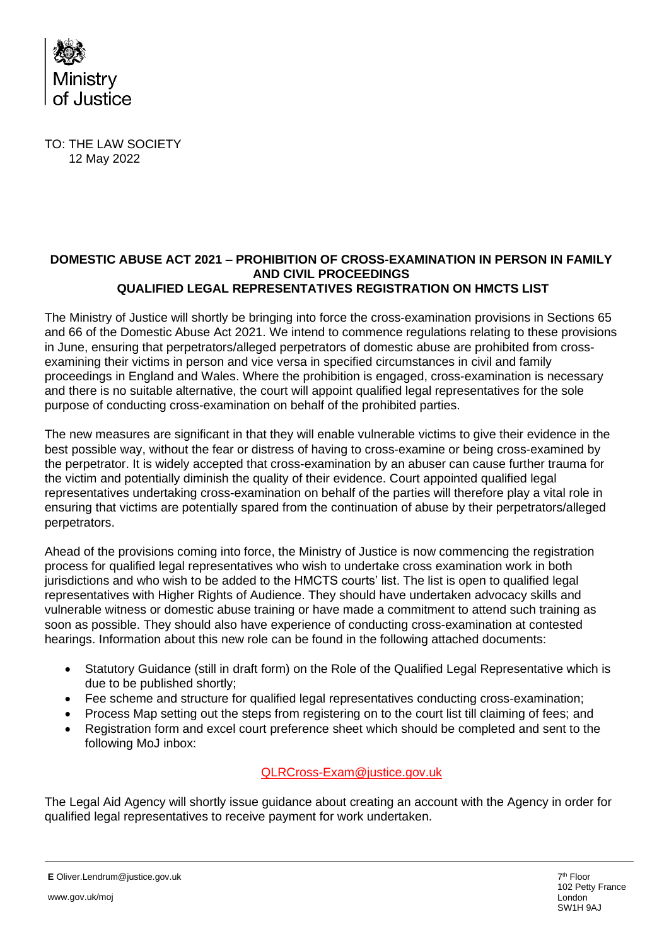

TO: THE LAW SOCIETY 12 May 2022

## **DOMESTIC ABUSE ACT 2021 – PROHIBITION OF CROSS-EXAMINATION IN PERSON IN FAMILY AND CIVIL PROCEEDINGS QUALIFIED LEGAL REPRESENTATIVES REGISTRATION ON HMCTS LIST**

The Ministry of Justice will shortly be bringing into force the cross-examination provisions in Sections 65 and 66 of the Domestic Abuse Act 2021. We intend to commence regulations relating to these provisions in June, ensuring that perpetrators/alleged perpetrators of domestic abuse are prohibited from crossexamining their victims in person and vice versa in specified circumstances in civil and family proceedings in England and Wales. Where the prohibition is engaged, cross-examination is necessary and there is no suitable alternative, the court will appoint qualified legal representatives for the sole purpose of conducting cross-examination on behalf of the prohibited parties.

The new measures are significant in that they will enable vulnerable victims to give their evidence in the best possible way, without the fear or distress of having to cross-examine or being cross-examined by the perpetrator. It is widely accepted that cross-examination by an abuser can cause further trauma for the victim and potentially diminish the quality of their evidence. Court appointed qualified legal representatives undertaking cross-examination on behalf of the parties will therefore play a vital role in ensuring that victims are potentially spared from the continuation of abuse by their perpetrators/alleged perpetrators.

Ahead of the provisions coming into force, the Ministry of Justice is now commencing the registration process for qualified legal representatives who wish to undertake cross examination work in both jurisdictions and who wish to be added to the HMCTS courts' list. The list is open to qualified legal representatives with Higher Rights of Audience. They should have undertaken advocacy skills and vulnerable witness or domestic abuse training or have made a commitment to attend such training as soon as possible. They should also have experience of conducting cross-examination at contested hearings. Information about this new role can be found in the following attached documents:

- Statutory Guidance (still in draft form) on the Role of the Qualified Legal Representative which is due to be published shortly;
- Fee scheme and structure for qualified legal representatives conducting cross-examination:
- Process Map setting out the steps from registering on to the court list till claiming of fees; and
- Registration form and excel court preference sheet which should be completed and sent to the following MoJ inbox:

## [QLRCross-Exam@justice.gov.uk](mailto:QLRCross-Exam@justice.gov.uk)

The Legal Aid Agency will shortly issue guidance about creating an account with the Agency in order for qualified legal representatives to receive payment for work undertaken.

**E** Oliver.Lendrum@justice.gov.uk

7 th Floor 102 Petty France London SW1H 9AJ